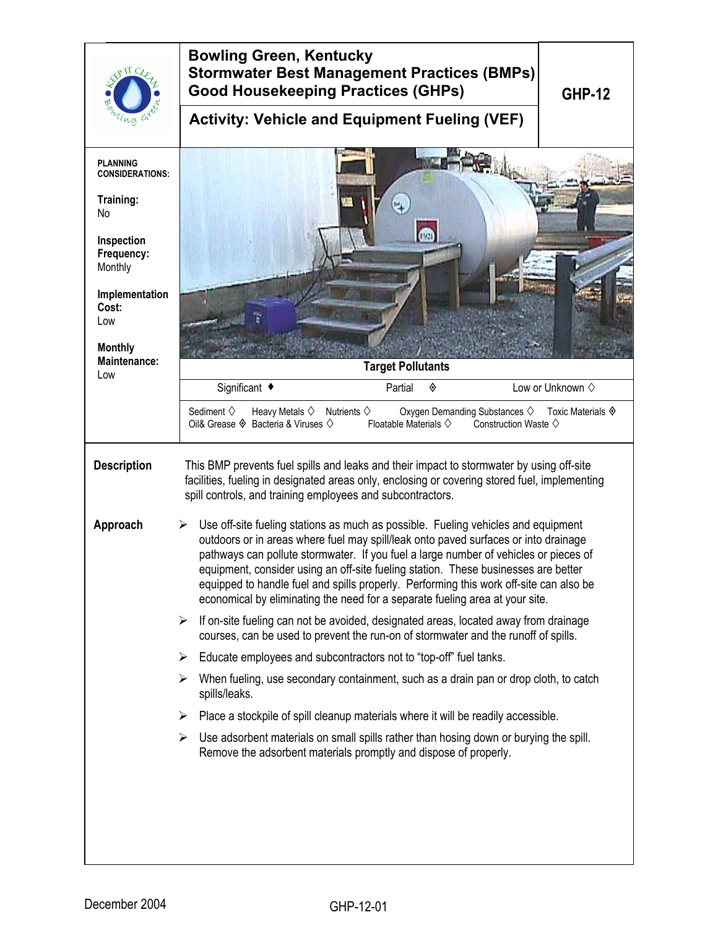| $\overline{U}$ C<br>Lna                   | <b>Bowling Green, Kentucky</b><br><b>Stormwater Best Management Practices (BMPs)</b><br><b>Good Housekeeping Practices (GHPs)</b><br><b>GHP-12</b>                                                                                                                                                                                                                                                                                                                                                                                    |  |  |  |
|-------------------------------------------|---------------------------------------------------------------------------------------------------------------------------------------------------------------------------------------------------------------------------------------------------------------------------------------------------------------------------------------------------------------------------------------------------------------------------------------------------------------------------------------------------------------------------------------|--|--|--|
|                                           | <b>Activity: Vehicle and Equipment Fueling (VEF)</b>                                                                                                                                                                                                                                                                                                                                                                                                                                                                                  |  |  |  |
| <b>PLANNING</b><br><b>CONSIDERATIONS:</b> |                                                                                                                                                                                                                                                                                                                                                                                                                                                                                                                                       |  |  |  |
| Training:<br>No                           |                                                                                                                                                                                                                                                                                                                                                                                                                                                                                                                                       |  |  |  |
| Inspection<br>Frequency:<br>Monthly       | <b>O</b>                                                                                                                                                                                                                                                                                                                                                                                                                                                                                                                              |  |  |  |
| Implementation<br>Cost:<br>Low            |                                                                                                                                                                                                                                                                                                                                                                                                                                                                                                                                       |  |  |  |
| <b>Monthly</b><br>Maintenance:<br>Low     | <b>Target Pollutants</b>                                                                                                                                                                                                                                                                                                                                                                                                                                                                                                              |  |  |  |
|                                           | Significant ◆<br>Partial<br>Low or Unknown $\diamond$<br>◈                                                                                                                                                                                                                                                                                                                                                                                                                                                                            |  |  |  |
|                                           | Sediment $\diamondsuit$<br>Heavy Metals $\diamondsuit$<br>Oxygen Demanding Substances ♦ Toxic Materials ♦<br>Nutrients $\diamondsuit$<br>Oil& Grease $\Diamond$ Bacteria & Viruses $\Diamond$<br>Floatable Materials $\diamondsuit$<br>Construction Waste $\diamond$                                                                                                                                                                                                                                                                  |  |  |  |
| <b>Description</b>                        | This BMP prevents fuel spills and leaks and their impact to stormwater by using off-site<br>facilities, fueling in designated areas only, enclosing or covering stored fuel, implementing<br>spill controls, and training employees and subcontractors.                                                                                                                                                                                                                                                                               |  |  |  |
| Approach                                  | Use off-site fueling stations as much as possible. Fueling vehicles and equipment<br>➤<br>outdoors or in areas where fuel may spill/leak onto paved surfaces or into drainage<br>pathways can pollute stormwater. If you fuel a large number of vehicles or pieces of<br>equipment, consider using an off-site fueling station. These businesses are better<br>equipped to handle fuel and spills properly. Performing this work off-site can also be<br>economical by eliminating the need for a separate fueling area at your site. |  |  |  |
|                                           | $\triangleright$ If on-site fueling can not be avoided, designated areas, located away from drainage<br>courses, can be used to prevent the run-on of stormwater and the runoff of spills.                                                                                                                                                                                                                                                                                                                                            |  |  |  |
|                                           | Educate employees and subcontractors not to "top-off" fuel tanks.<br>➤                                                                                                                                                                                                                                                                                                                                                                                                                                                                |  |  |  |
|                                           | When fueling, use secondary containment, such as a drain pan or drop cloth, to catch<br>➤<br>spills/leaks.                                                                                                                                                                                                                                                                                                                                                                                                                            |  |  |  |
|                                           | Place a stockpile of spill cleanup materials where it will be readily accessible.<br>➤                                                                                                                                                                                                                                                                                                                                                                                                                                                |  |  |  |
|                                           | Use adsorbent materials on small spills rather than hosing down or burying the spill.<br>➤<br>Remove the adsorbent materials promptly and dispose of properly.                                                                                                                                                                                                                                                                                                                                                                        |  |  |  |
|                                           |                                                                                                                                                                                                                                                                                                                                                                                                                                                                                                                                       |  |  |  |